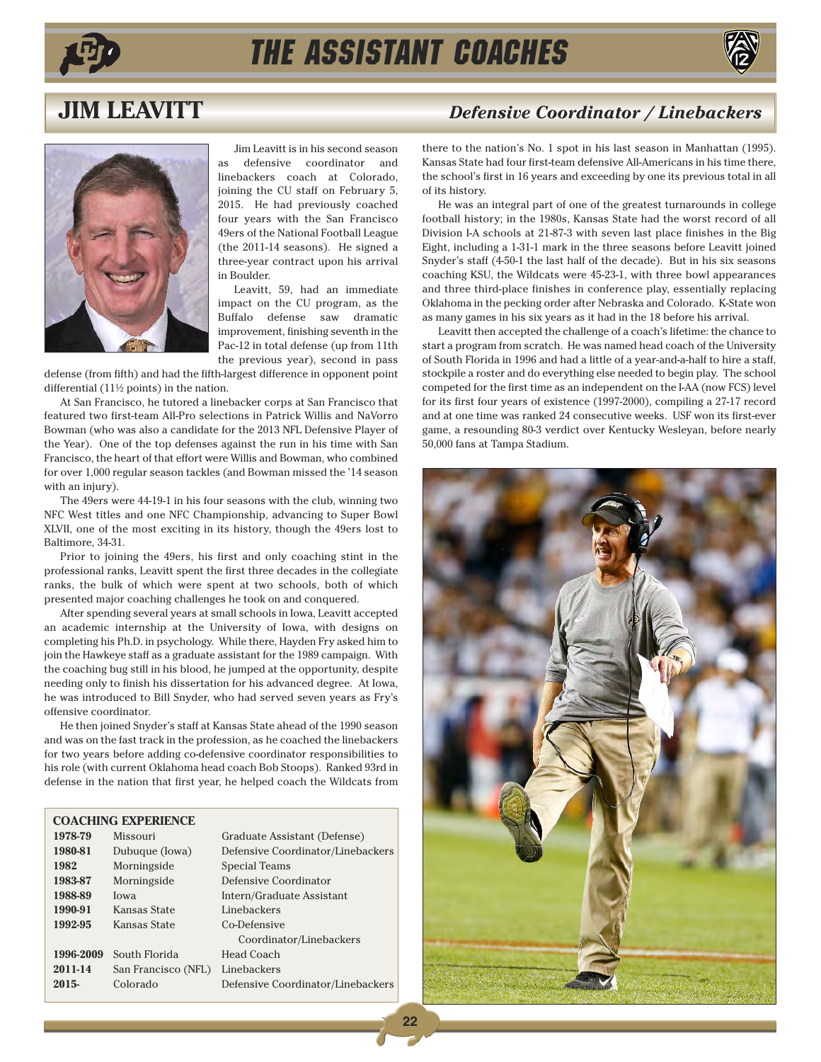

# **the assistant coaches**





Jim Leavitt is in his second season as defensive coordinator and linebackers coach at Colorado, joining the CU staff on February 5, 2015. He had previously coached four years with the San Francisco 49ers of the National Football League (the 2011-14 seasons). He signed a three-year contract upon his arrival in Boulder.

Leavitt, 59, had an immediate impact on the CU program, as the Buffalo defense saw dramatic improvement, finishing seventh in the Pac-12 in total defense (up from 11th the previous year), second in pass

defense (from fifth) and had the fifth-largest difference in opponent point differential (11½ points) in the nation.

At San Francisco, he tutored a linebacker corps at San Francisco that featured two first-team All-Pro selections in Patrick Willis and NaVorro Bowman (who was also a candidate for the 2013 NFL Defensive Player of the Year). One of the top defenses against the run in his time with San Francisco, the heart of that effort were Willis and Bowman, who combined for over 1,000 regular season tackles (and Bowman missed the '14 season with an injury).

The 49ers were 44-19-1 in his four seasons with the club, winning two NFC West titles and one NFC Championship, advancing to Super Bowl XLVII, one of the most exciting in its history, though the 49ers lost to Baltimore, 34-31.

Prior to joining the 49ers, his first and only coaching stint in the professional ranks, Leavitt spent the first three decades in the collegiate ranks, the bulk of which were spent at two schools, both of which presented major coaching challenges he took on and conquered.

After spending several years at small schools in Iowa, Leavitt accepted an academic internship at the University of Iowa, with designs on completing his Ph.D. in psychology. While there, Hayden Fry asked him to join the Hawkeye staff as a graduate assistant for the 1989 campaign. With the coaching bug still in his blood, he jumped at the opportunity, despite needing only to finish his dissertation for his advanced degree. At Iowa, he was introduced to Bill Snyder, who had served seven years as Fry's offensive coordinator.

He then joined Snyder's staff at Kansas State ahead of the 1990 season and was on the fast track in the profession, as he coached the linebackers for two years before adding co-defensive coordinator responsibilities to his role (with current Oklahoma head coach Bob Stoops). Ranked 93rd in defense in the nation that first year, he helped coach the Wildcats from

### **COACHING EXPERIENCE**

| 1978-79   | Missouri            | Graduate Assistant (Defense)      |
|-----------|---------------------|-----------------------------------|
| 1980-81   | Dubuque (Iowa)      | Defensive Coordinator/Linebackers |
| 1982      | Morningside         | Special Teams                     |
| 1983-87   | Morningside         | Defensive Coordinator             |
| 1988-89   | Iowa                | Intern/Graduate Assistant         |
| 1990-91   | Kansas State        | Linebackers                       |
| 1992-95   | Kansas State        | Co-Defensive                      |
|           |                     | Coordinator/Linebackers           |
| 1996-2009 | South Florida       | Head Coach                        |
| 2011-14   | San Francisco (NFL) | Linebackers                       |
| 2015-     | Colorado            | Defensive Coordinator/Linebackers |

## **JIM LEAVITT** *Defensive Coordinator / Linebackers*

there to the nation's No. 1 spot in his last season in Manhattan (1995). Kansas State had four first-team defensive All-Americans in his time there, the school's first in 16 years and exceeding by one its previous total in all of its history.

He was an integral part of one of the greatest turnarounds in college football history; in the 1980s, Kansas State had the worst record of all Division I-A schools at 21-87-3 with seven last place finishes in the Big Eight, including a 1-31-1 mark in the three seasons before Leavitt joined Snyder's staff (4-50-1 the last half of the decade). But in his six seasons coaching KSU, the Wildcats were 45-23-1, with three bowl appearances and three third-place finishes in conference play, essentially replacing Oklahoma in the pecking order after Nebraska and Colorado. K-State won as many games in his six years as it had in the 18 before his arrival.

Leavitt then accepted the challenge of a coach's lifetime: the chance to start a program from scratch. He was named head coach of the University of South Florida in 1996 and had a little of a year-and-a-half to hire a staff, stockpile a roster and do everything else needed to begin play. The school competed for the first time as an independent on the I-AA (now FCS) level for its first four years of existence (1997-2000), compiling a 27-17 record and at one time was ranked 24 consecutive weeks. USF won its first-ever game, a resounding 80-3 verdict over Kentucky Wesleyan, before nearly 50,000 fans at Tampa Stadium.

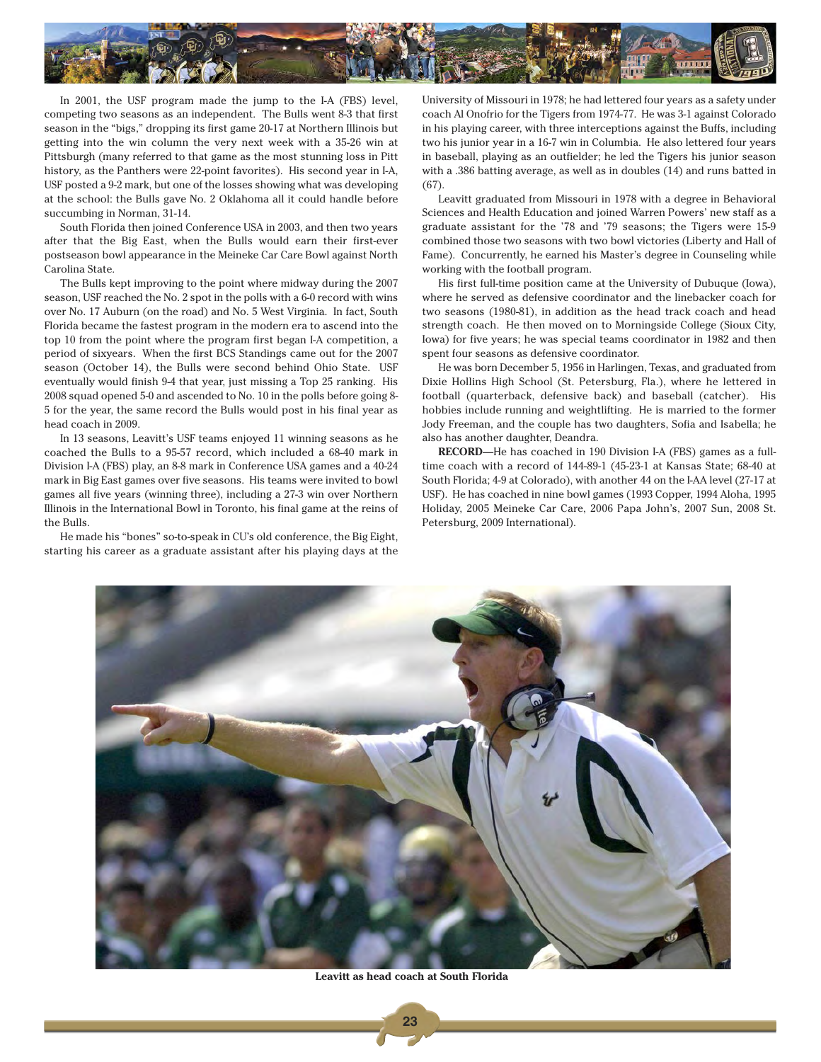

In 2001, the USF program made the jump to the I-A (FBS) level, competing two seasons as an independent. The Bulls went 8-3 that first season in the "bigs," dropping its first game 20-17 at Northern Illinois but getting into the win column the very next week with a 35-26 win at Pittsburgh (many referred to that game as the most stunning loss in Pitt history, as the Panthers were 22-point favorites). His second year in I-A, USF posted a 9-2 mark, but one of the losses showing what was developing at the school: the Bulls gave No. 2 Oklahoma all it could handle before succumbing in Norman, 31-14.

South Florida then joined Conference USA in 2003, and then two years after that the Big East, when the Bulls would earn their first-ever postseason bowl appearance in the Meineke Car Care Bowl against North Carolina State.

The Bulls kept improving to the point where midway during the 2007 season, USF reached the No. 2 spot in the polls with a 6-0 record with wins over No. 17 Auburn (on the road) and No. 5 West Virginia. In fact, South Florida became the fastest program in the modern era to ascend into the top 10 from the point where the program first began I-A competition, a period of sixyears. When the first BCS Standings came out for the 2007 season (October 14), the Bulls were second behind Ohio State. USF eventually would finish 9-4 that year, just missing a Top 25 ranking. His 2008 squad opened 5-0 and ascended to No. 10 in the polls before going 8- 5 for the year, the same record the Bulls would post in his final year as head coach in 2009.

In 13 seasons, Leavitt's USF teams enjoyed 11 winning seasons as he coached the Bulls to a 95-57 record, which included a 68-40 mark in Division I-A (FBS) play, an 8-8 mark in Conference USA games and a 40-24 mark in Big East games over five seasons. His teams were invited to bowl games all five years (winning three), including a 27-3 win over Northern Illinois in the International Bowl in Toronto, his final game at the reins of the Bulls.

He made his "bones" so-to-speak in CU's old conference, the Big Eight, starting his career as a graduate assistant after his playing days at the University of Missouri in 1978; he had lettered four years as a safety under coach Al Onofrio for the Tigers from 1974-77. He was 3-1 against Colorado in his playing career, with three interceptions against the Buffs, including two his junior year in a 16-7 win in Columbia. He also lettered four years in baseball, playing as an outfielder; he led the Tigers his junior season with a .386 batting average, as well as in doubles (14) and runs batted in (67).

Leavitt graduated from Missouri in 1978 with a degree in Behavioral Sciences and Health Education and joined Warren Powers' new staff as a graduate assistant for the '78 and '79 seasons; the Tigers were 15-9 combined those two seasons with two bowl victories (Liberty and Hall of Fame). Concurrently, he earned his Master's degree in Counseling while working with the football program.

His first full-time position came at the University of Dubuque (Iowa), where he served as defensive coordinator and the linebacker coach for two seasons (1980-81), in addition as the head track coach and head strength coach. He then moved on to Morningside College (Sioux City, Iowa) for five years; he was special teams coordinator in 1982 and then spent four seasons as defensive coordinator.

He was born December 5, 1956 in Harlingen, Texas, and graduated from Dixie Hollins High School (St. Petersburg, Fla.), where he lettered in football (quarterback, defensive back) and baseball (catcher). His hobbies include running and weightlifting. He is married to the former Jody Freeman, and the couple has two daughters, Sofia and Isabella; he also has another daughter, Deandra.

**RECORD**—He has coached in 190 Division I-A (FBS) games as a fulltime coach with a record of 144-89-1 (45-23-1 at Kansas State; 68-40 at South Florida; 4-9 at Colorado), with another 44 on the I-AA level (27-17 at USF). He has coached in nine bowl games (1993 Copper, 1994 Aloha, 1995 Holiday, 2005 Meineke Car Care, 2006 Papa John's, 2007 Sun, 2008 St. Petersburg, 2009 International).



**Leavitt as head coach at South Florida**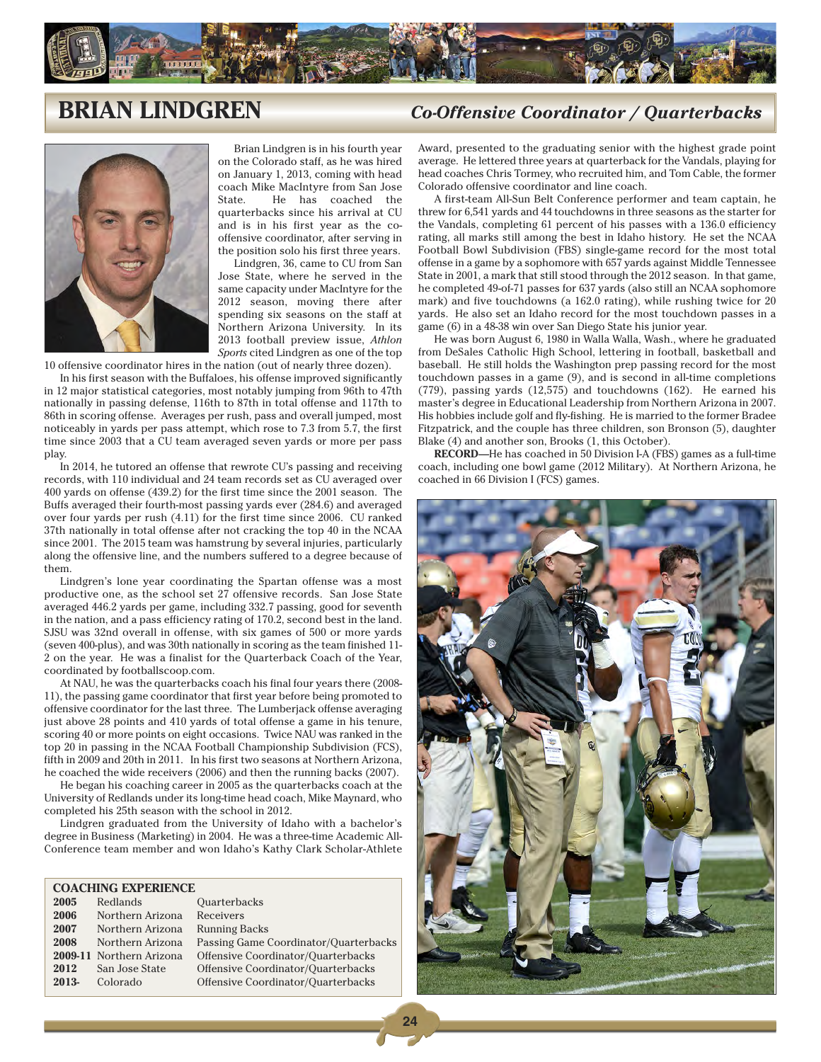

## **BRIAN LINDGREN** *Co-Offensive Coordinator / Quarterbacks*



Brian Lindgren is in his fourth year on the Colorado staff, as he was hired on January 1, 2013, coming with head coach Mike MacIntyre from San Jose State. He has coached the quarterbacks since his arrival at CU and is in his first year as the cooffensive coordinator, after serving in the position solo his first three years.

Lindgren, 36, came to CU from San Jose State, where he served in the same capacity under MacIntyre for the 2012 season, moving there after spending six seasons on the staff at Northern Arizona University. In its 2013 football preview issue, *Athlon Sports* cited Lindgren as one of the top

10 offensive coordinator hires in the nation (out of nearly three dozen).

In his first season with the Buffaloes, his offense improved significantly in 12 major statistical categories, most notably jumping from 96th to 47th nationally in passing defense, 116th to 87th in total offense and 117th to 86th in scoring offense. Averages per rush, pass and overall jumped, most noticeably in yards per pass attempt, which rose to 7.3 from 5.7, the first time since 2003 that a CU team averaged seven yards or more per pass play.

In 2014, he tutored an offense that rewrote CU's passing and receiving records, with 110 individual and 24 team records set as CU averaged over 400 yards on offense (439.2) for the first time since the 2001 season. The Buffs averaged their fourth-most passing yards ever (284.6) and averaged over four yards per rush (4.11) for the first time since 2006. CU ranked 37th nationally in total offense after not cracking the top 40 in the NCAA since 2001. The 2015 team was hamstrung by several injuries, particularly along the offensive line, and the numbers suffered to a degree because of them.

Lindgren's lone year coordinating the Spartan offense was a most productive one, as the school set 27 offensive records. San Jose State averaged 446.2 yards per game, including 332.7 passing, good for seventh in the nation, and a pass efficiency rating of 170.2, second best in the land. SJSU was 32nd overall in offense, with six games of 500 or more yards (seven 400-plus), and was 30th nationally in scoring as the team finished 11- 2 on the year. He was a finalist for the Quarterback Coach of the Year, coordinated by footballscoop.com.

At NAU, he was the quarterbacks coach his final four years there (2008- 11), the passing game coordinator that first year before being promoted to offensive coordinator for the last three. The Lumberjack offense averaging just above 28 points and 410 yards of total offense a game in his tenure, scoring 40 or more points on eight occasions. Twice NAU was ranked in the top 20 in passing in the NCAA Football Championship Subdivision (FCS), fifth in 2009 and 20th in 2011. In his first two seasons at Northern Arizona, he coached the wide receivers (2006) and then the running backs (2007).

He began his coaching career in 2005 as the quarterbacks coach at the University of Redlands under its long-time head coach, Mike Maynard, who completed his 25th season with the school in 2012.

Lindgren graduated from the University of Idaho with a bachelor's degree in Business (Marketing) in 2004. He was a three-time Academic All-Conference team member and won Idaho's Kathy Clark Scholar-Athlete

### **COACHING EXPERIENCE**

| 2005  | Redlands                 | <b>Ouarterbacks</b>                   |
|-------|--------------------------|---------------------------------------|
| 2006  | Northern Arizona         | Receivers                             |
| 2007  | Northern Arizona         | <b>Running Backs</b>                  |
| 2008  | Northern Arizona         | Passing Game Coordinator/Quarterbacks |
|       | 2009-11 Northern Arizona | Offensive Coordinator/Quarterbacks    |
| 2012  | San Jose State           | Offensive Coordinator/Quarterbacks    |
| 2013- | Colorado                 | Offensive Coordinator/Quarterbacks    |
|       |                          |                                       |

Award, presented to the graduating senior with the highest grade point average. He lettered three years at quarterback for the Vandals, playing for head coaches Chris Tormey, who recruited him, and Tom Cable, the former Colorado offensive coordinator and line coach.

A first-team All-Sun Belt Conference performer and team captain, he threw for 6,541 yards and 44 touchdowns in three seasons as the starter for the Vandals, completing 61 percent of his passes with a 136.0 efficiency rating, all marks still among the best in Idaho history. He set the NCAA Football Bowl Subdivision (FBS) single-game record for the most total offense in a game by a sophomore with 657 yards against Middle Tennessee State in 2001, a mark that still stood through the 2012 season. In that game, he completed 49-of-71 passes for 637 yards (also still an NCAA sophomore mark) and five touchdowns (a 162.0 rating), while rushing twice for 20 yards. He also set an Idaho record for the most touchdown passes in a game (6) in a 48-38 win over San Diego State his junior year.

He was born August 6, 1980 in Walla Walla, Wash., where he graduated from DeSales Catholic High School, lettering in football, basketball and baseball. He still holds the Washington prep passing record for the most touchdown passes in a game (9), and is second in all-time completions (779), passing yards (12,575) and touchdowns (162). He earned his master's degree in Educational Leadership from Northern Arizona in 2007. His hobbies include golf and fly-fishing. He is married to the former Bradee Fitzpatrick, and the couple has three children, son Bronson (5), daughter Blake (4) and another son, Brooks (1, this October).

**RECORD**—He has coached in 50 Division I-A (FBS) games as a full-time coach, including one bowl game (2012 Military). At Northern Arizona, he coached in 66 Division I (FCS) games.

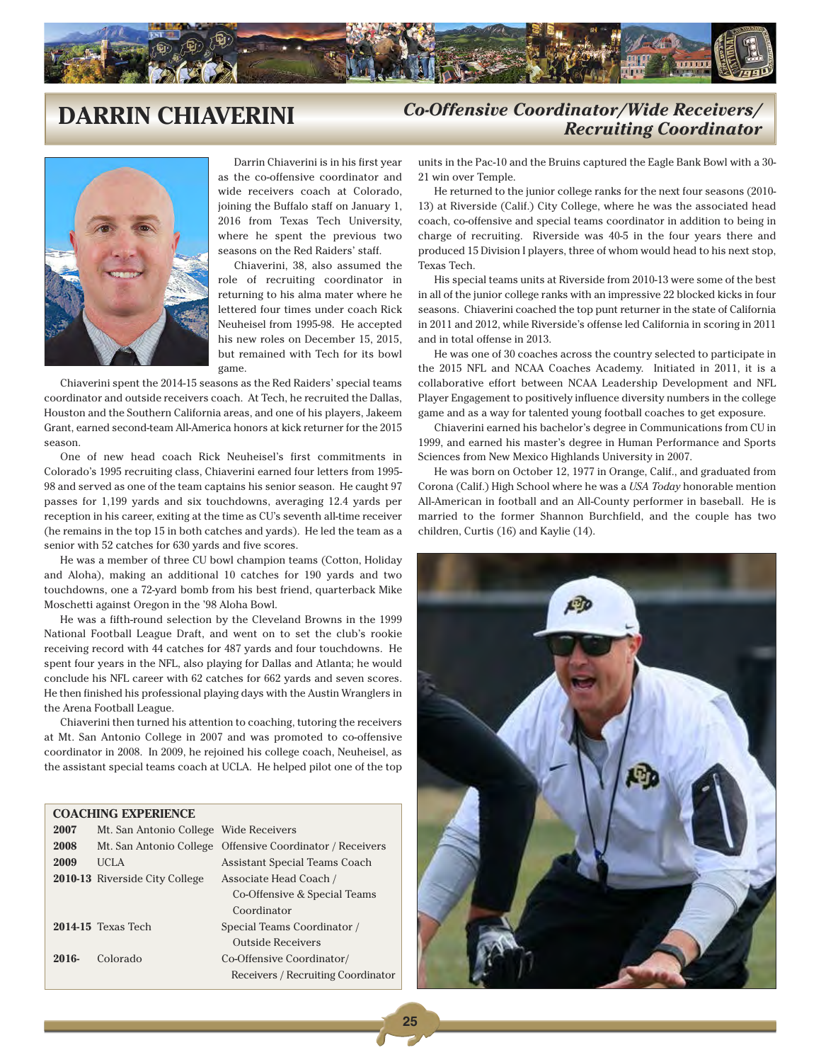

## **DARRIN CHIAVERINI** *Co-Offensive Coordinator/Wide Receivers/ Recruiting Coordinator*



Darrin Chiaverini is in his first year as the co-offensive coordinator and wide receivers coach at Colorado, joining the Buffalo staff on January 1, 2016 from Texas Tech University, where he spent the previous two seasons on the Red Raiders' staff.

Chiaverini, 38, also assumed the role of recruiting coordinator in returning to his alma mater where he lettered four times under coach Rick Neuheisel from 1995-98. He accepted his new roles on December 15, 2015, but remained with Tech for its bowl game.

Chiaverini spent the 2014-15 seasons as the Red Raiders' special teams coordinator and outside receivers coach. At Tech, he recruited the Dallas, Houston and the Southern California areas, and one of his players, Jakeem Grant, earned second-team All-America honors at kick returner for the 2015 season.

One of new head coach Rick Neuheisel's first commitments in Colorado's 1995 recruiting class, Chiaverini earned four letters from 1995- 98 and served as one of the team captains his senior season. He caught 97 passes for 1,199 yards and six touchdowns, averaging 12.4 yards per reception in his career, exiting at the time as CU's seventh all-time receiver (he remains in the top 15 in both catches and yards). He led the team as a senior with 52 catches for 630 yards and five scores.

He was a member of three CU bowl champion teams (Cotton, Holiday and Aloha), making an additional 10 catches for 190 yards and two touchdowns, one a 72-yard bomb from his best friend, quarterback Mike Moschetti against Oregon in the '98 Aloha Bowl.

He was a fifth-round selection by the Cleveland Browns in the 1999 National Football League Draft, and went on to set the club's rookie receiving record with 44 catches for 487 yards and four touchdowns. He spent four years in the NFL, also playing for Dallas and Atlanta; he would conclude his NFL career with 62 catches for 662 yards and seven scores. He then finished his professional playing days with the Austin Wranglers in the Arena Football League.

Chiaverini then turned his attention to coaching, tutoring the receivers at Mt. San Antonio College in 2007 and was promoted to co-offensive coordinator in 2008. In 2009, he rejoined his college coach, Neuheisel, as the assistant special teams coach at UCLA. He helped pilot one of the top

### **COACHING EXPERIENCE**

| 2007    | Mt. San Antonio College Wide Receivers |                                                           |
|---------|----------------------------------------|-----------------------------------------------------------|
| 2008    |                                        | Mt. San Antonio College Offensive Coordinator / Receivers |
| 2009    | <b>UCLA</b>                            | Assistant Special Teams Coach                             |
|         | 2010-13 Riverside City College         | Associate Head Coach /                                    |
|         |                                        | Co-Offensive & Special Teams                              |
|         |                                        | Coordinator                                               |
|         | 2014-15 Texas Tech                     | Special Teams Coordinator /                               |
|         |                                        | Outside Receivers                                         |
| $2016-$ | Colorado                               | Co-Offensive Coordinator/                                 |
|         |                                        | Receivers / Recruiting Coordinator                        |

units in the Pac-10 and the Bruins captured the Eagle Bank Bowl with a 30- 21 win over Temple.

He returned to the junior college ranks for the next four seasons (2010- 13) at Riverside (Calif.) City College, where he was the associated head coach, co-offensive and special teams coordinator in addition to being in charge of recruiting. Riverside was 40-5 in the four years there and produced 15 Division I players, three of whom would head to his next stop, Texas Tech.

His special teams units at Riverside from 2010-13 were some of the best in all of the junior college ranks with an impressive 22 blocked kicks in four seasons. Chiaverini coached the top punt returner in the state of California in 2011 and 2012, while Riverside's offense led California in scoring in 2011 and in total offense in 2013.

He was one of 30 coaches across the country selected to participate in the 2015 NFL and NCAA Coaches Academy. Initiated in 2011, it is a collaborative effort between NCAA Leadership Development and NFL Player Engagement to positively influence diversity numbers in the college game and as a way for talented young football coaches to get exposure.

Chiaverini earned his bachelor's degree in Communications from CU in 1999, and earned his master's degree in Human Performance and Sports Sciences from New Mexico Highlands University in 2007.

He was born on October 12, 1977 in Orange, Calif., and graduated from Corona (Calif.) High School where he was a *USA Today* honorable mention All-American in football and an All-County performer in baseball. He is married to the former Shannon Burchfield, and the couple has two children, Curtis (16) and Kaylie (14).

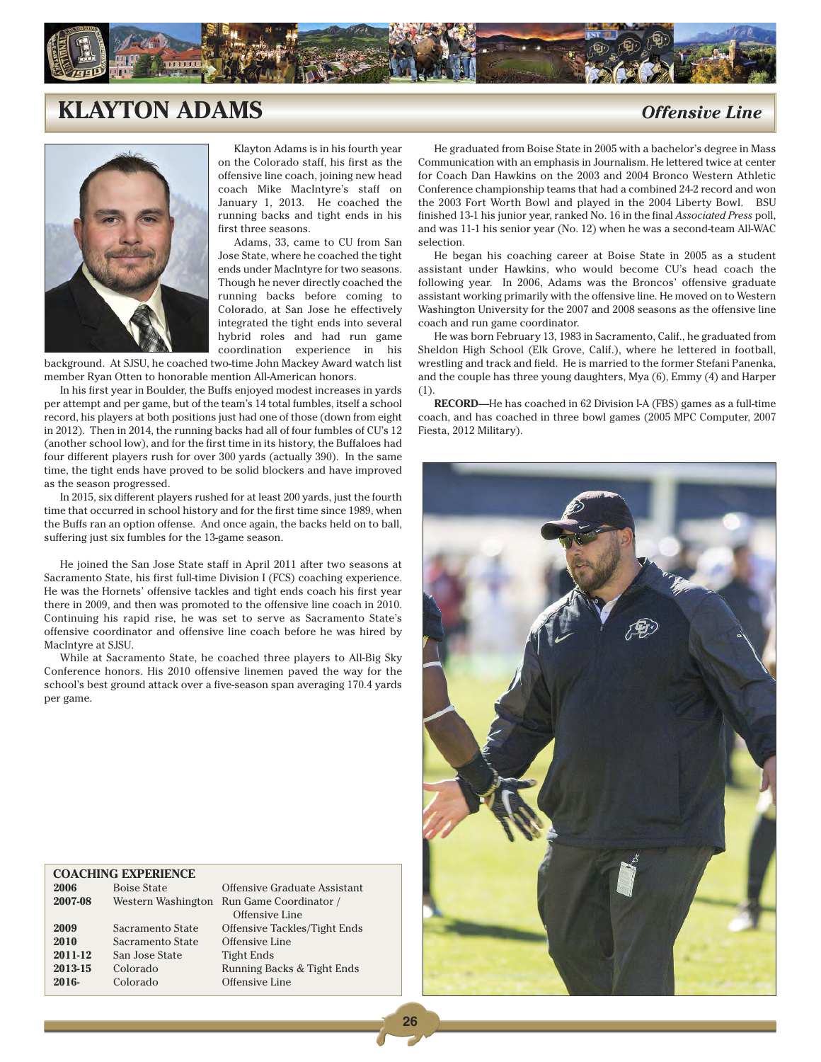

## **KLAYTON ADAMS** *Offensive Line*

Klayton Adams is in his fourth year on the Colorado staff, his first as the offensive line coach, joining new head coach Mike MacIntyre's staff on January 1, 2013. He coached the running backs and tight ends in his first three seasons.

Adams, 33, came to CU from San Jose State, where he coached the tight ends under MacIntyre for two seasons. Though he never directly coached the running backs before coming to Colorado, at San Jose he effectively integrated the tight ends into several hybrid roles and had run game coordination experience in his

background. At SJSU, he coached two-time John Mackey Award watch list member Ryan Otten to honorable mention All-American honors.

In his first year in Boulder, the Buffs enjoyed modest increases in yards per attempt and per game, but of the team's 14 total fumbles, itself a school record, his players at both positions just had one of those (down from eight in 2012). Then in 2014, the running backs had all of four fumbles of CU's 12 (another school low), and for the first time in its history, the Buffaloes had four different players rush for over 300 yards (actually 390). In the same time, the tight ends have proved to be solid blockers and have improved as the season progressed.

In 2015, six different players rushed for at least 200 yards, just the fourth time that occurred in school history and for the first time since 1989, when the Buffs ran an option offense. And once again, the backs held on to ball, suffering just six fumbles for the 13-game season.

He joined the San Jose State staff in April 2011 after two seasons at Sacramento State, his first full-time Division I (FCS) coaching experience. He was the Hornets' offensive tackles and tight ends coach his first year there in 2009, and then was promoted to the offensive line coach in 2010. Continuing his rapid rise, he was set to serve as Sacramento State's offensive coordinator and offensive line coach before he was hired by MacIntyre at SJSU.

While at Sacramento State, he coached three players to All-Big Sky Conference honors. His 2010 offensive linemen paved the way for the school's best ground attack over a five-season span averaging 170.4 yards per game.

He graduated from Boise State in 2005 with a bachelor's degree in Mass Communication with an emphasis in Journalism. He lettered twice at center for Coach Dan Hawkins on the 2003 and 2004 Bronco Western Athletic Conference championship teams that had a combined 24-2 record and won the 2003 Fort Worth Bowl and played in the 2004 Liberty Bowl. BSU finished 13-1 his junior year, ranked No. 16 in the final *Associated Press* poll, and was 11-1 his senior year (No. 12) when he was a second-team All-WAC selection.

He began his coaching career at Boise State in 2005 as a student assistant under Hawkins, who would become CU's head coach the following year. In 2006, Adams was the Broncos' offensive graduate assistant working primarily with the offensive line. He moved on to Western Washington University for the 2007 and 2008 seasons as the offensive line coach and run game coordinator.

He was born February 13, 1983 in Sacramento, Calif., he graduated from Sheldon High School (Elk Grove, Calif.), where he lettered in football, wrestling and track and field. He is married to the former Stefani Panenka, and the couple has three young daughters, Mya (6), Emmy (4) and Harper (1).

**RECORD**—He has coached in 62 Division I-A (FBS) games as a full-time coach, and has coached in three bowl games (2005 MPC Computer, 2007 Fiesta, 2012 Military).



**COACHING EXPERIENCE 2006** Boise State 2007-08 Western Washington

**2009** Sacramento State **2010** Sacramento State **2011-12** San Jose State **2013-15** Colorado 2016- Colorado

|   | Offensive Graduate Assistant |
|---|------------------------------|
| m | Run Game Coordinator /       |
|   | Offensive Line               |
|   | Offensive Tackles/Tight Ends |
|   | Offensive Line               |
|   | <b>Tight Ends</b>            |
|   | Running Backs & Tight Ends   |
|   | Offensive Line               |
|   |                              |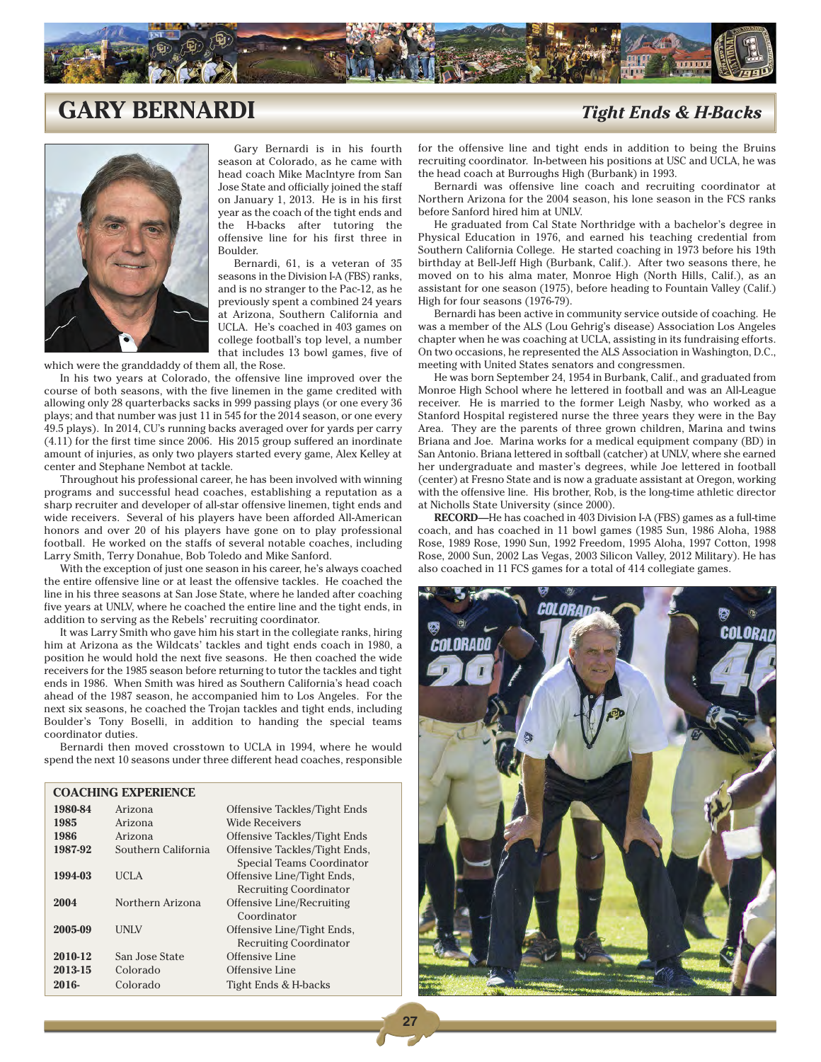

## **GARY BERNARDI** *Tight Ends & H-Backs*



Gary Bernardi is in his fourth season at Colorado, as he came with head coach Mike MacIntyre from San Jose State and officially joined the staff on January 1, 2013. He is in his first year as the coach of the tight ends and the H-backs after tutoring the offensive line for his first three in Boulder.

Bernardi, 61, is a veteran of 35 seasons in the Division I-A (FBS) ranks, and is no stranger to the Pac-12, as he previously spent a combined 24 years at Arizona, Southern California and UCLA. He's coached in 403 games on college football's top level, a number that includes 13 bowl games, five of

which were the granddaddy of them all, the Rose.

In his two years at Colorado, the offensive line improved over the course of both seasons, with the five linemen in the game credited with allowing only 28 quarterbacks sacks in 999 passing plays (or one every 36 plays; and that number was just 11 in 545 for the 2014 season, or one every 49.5 plays). In 2014, CU's running backs averaged over for yards per carry (4.11) for the first time since 2006. His 2015 group suffered an inordinate amount of injuries, as only two players started every game, Alex Kelley at center and Stephane Nembot at tackle.

Throughout his professional career, he has been involved with winning programs and successful head coaches, establishing a reputation as a sharp recruiter and developer of all-star offensive linemen, tight ends and wide receivers. Several of his players have been afforded All-American honors and over 20 of his players have gone on to play professional football. He worked on the staffs of several notable coaches, including Larry Smith, Terry Donahue, Bob Toledo and Mike Sanford.

With the exception of just one season in his career, he's always coached the entire offensive line or at least the offensive tackles. He coached the line in his three seasons at San Jose State, where he landed after coaching five years at UNLV, where he coached the entire line and the tight ends, in addition to serving as the Rebels' recruiting coordinator.

It was Larry Smith who gave him his start in the collegiate ranks, hiring him at Arizona as the Wildcats' tackles and tight ends coach in 1980, a position he would hold the next five seasons. He then coached the wide receivers for the 1985 season before returning to tutor the tackles and tight ends in 1986. When Smith was hired as Southern California's head coach ahead of the 1987 season, he accompanied him to Los Angeles. For the next six seasons, he coached the Trojan tackles and tight ends, including Boulder's Tony Boselli, in addition to handing the special teams coordinator duties.

Bernardi then moved crosstown to UCLA in 1994, where he would spend the next 10 seasons under three different head coaches, responsible

### **COACHING EXPERIENCE**

| 1980-84 | Arizona             | Offensive Tackles/Tight Ends                                |
|---------|---------------------|-------------------------------------------------------------|
| 1985    | Arizona             | Wide Receivers                                              |
| 1986    | Arizona             | Offensive Tackles/Tight Ends                                |
| 1987-92 | Southern California | Offensive Tackles/Tight Ends,<br>Special Teams Coordinator  |
| 1994-03 | UCLA                | Offensive Line/Tight Ends.<br><b>Recruiting Coordinator</b> |
| 2004    | Northern Arizona    | Offensive Line/Recruiting<br>Coordinator                    |
| 2005-09 | <b>UNLV</b>         | Offensive Line/Tight Ends.<br><b>Recruiting Coordinator</b> |
| 2010-12 | San Jose State      | Offensive Line                                              |
| 2013-15 | Colorado            | Offensive Line                                              |
| 2016-   | Colorado            | Tight Ends & H-backs                                        |

for the offensive line and tight ends in addition to being the Bruins recruiting coordinator. In-between his positions at USC and UCLA, he was the head coach at Burroughs High (Burbank) in 1993.

Bernardi was offensive line coach and recruiting coordinator at Northern Arizona for the 2004 season, his lone season in the FCS ranks before Sanford hired him at UNLV.

He graduated from Cal State Northridge with a bachelor's degree in Physical Education in 1976, and earned his teaching credential from Southern California College. He started coaching in 1973 before his 19th birthday at Bell-Jeff High (Burbank, Calif.). After two seasons there, he moved on to his alma mater, Monroe High (North Hills, Calif.), as an assistant for one season (1975), before heading to Fountain Valley (Calif.) High for four seasons (1976-79).

Bernardi has been active in community service outside of coaching. He was a member of the ALS (Lou Gehrig's disease) Association Los Angeles chapter when he was coaching at UCLA, assisting in its fundraising efforts. On two occasions, he represented the ALS Association in Washington, D.C., meeting with United States senators and congressmen.

He was born September 24, 1954 in Burbank, Calif., and graduated from Monroe High School where he lettered in football and was an All-League receiver. He is married to the former Leigh Nasby, who worked as a Stanford Hospital registered nurse the three years they were in the Bay Area. They are the parents of three grown children, Marina and twins Briana and Joe. Marina works for a medical equipment company (BD) in San Antonio. Briana lettered in softball (catcher) at UNLV, where she earned her undergraduate and master's degrees, while Joe lettered in football (center) at Fresno State and is now a graduate assistant at Oregon, working with the offensive line. His brother, Rob, is the long-time athletic director at Nicholls State University (since 2000).

**RECORD**—He has coached in 403 Division I-A (FBS) games as a full-time coach, and has coached in 11 bowl games (1985 Sun, 1986 Aloha, 1988 Rose, 1989 Rose, 1990 Sun, 1992 Freedom, 1995 Aloha, 1997 Cotton, 1998 Rose, 2000 Sun, 2002 Las Vegas, 2003 Silicon Valley, 2012 Military). He has also coached in 11 FCS games for a total of 414 collegiate games.

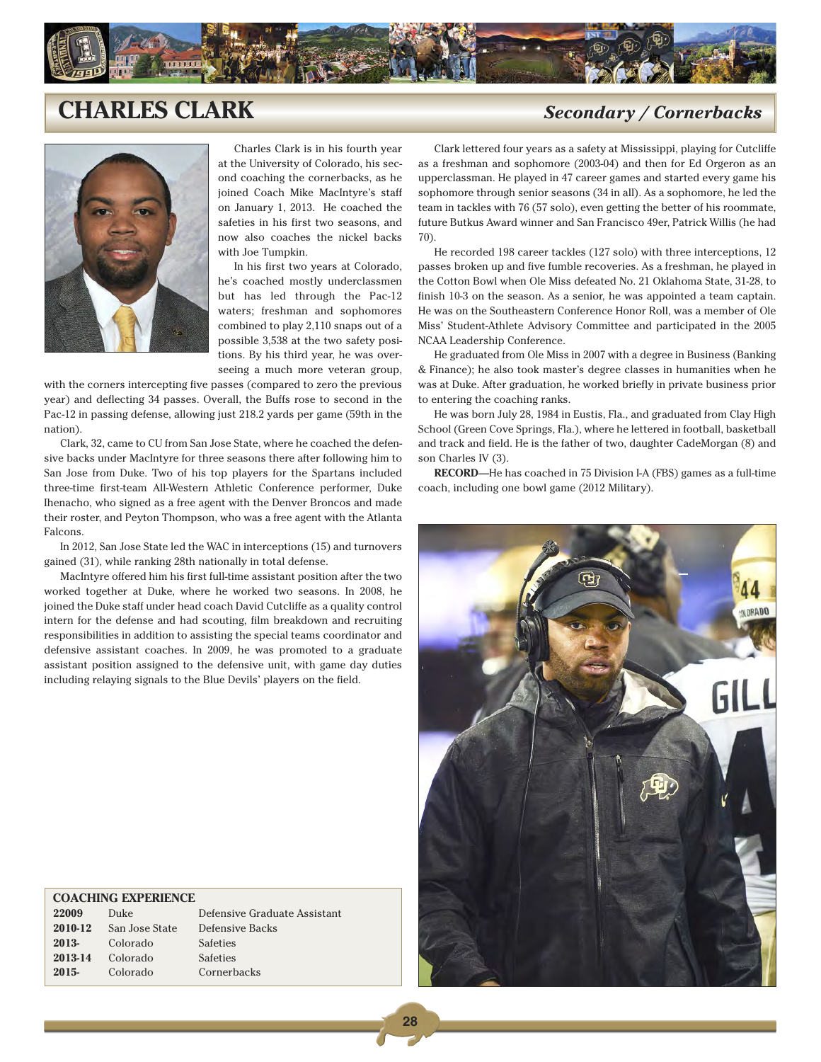

## **CHARLES CLARK** *Secondary / Cornerbacks*



Charles Clark is in his fourth year at the University of Colorado, his second coaching the cornerbacks, as he joined Coach Mike MacIntyre's staff on January 1, 2013. He coached the safeties in his first two seasons, and now also coaches the nickel backs with Joe Tumpkin.

In his first two years at Colorado, he's coached mostly underclassmen but has led through the Pac-12 waters; freshman and sophomores combined to play 2,110 snaps out of a possible 3,538 at the two safety positions. By his third year, he was overseeing a much more veteran group,

**221** uate Assistant

with the corners intercepting five passes (compared to zero the previous year) and deflecting 34 passes. Overall, the Buffs rose to second in the Pac-12 in passing defense, allowing just 218.2 yards per game (59th in the nation).

Clark, 32, came to CU from San Jose State, where he coached the defensive backs under MacIntyre for three seasons there after following him to San Jose from Duke. Two of his top players for the Spartans included three-time first-team All-Western Athletic Conference performer, Duke Ihenacho, who signed as a free agent with the Denver Broncos and made their roster, and Peyton Thompson, who was a free agent with the Atlanta Falcons.

In 2012, San Jose State led the WAC in interceptions (15) and turnovers gained (31), while ranking 28th nationally in total defense.

MacIntyre offered him his first full-time assistant position after the two worked together at Duke, where he worked two seasons. In 2008, he joined the Duke staff under head coach David Cutcliffe as a quality control intern for the defense and had scouting, film breakdown and recruiting responsibilities in addition to assisting the special teams coordinator and defensive assistant coaches. In 2009, he was promoted to a graduate assistant position assigned to the defensive unit, with game day duties including relaying signals to the Blue Devils' players on the field.

Clark lettered four years as a safety at Mississippi, playing for Cutcliffe as a freshman and sophomore (2003-04) and then for Ed Orgeron as an upperclassman. He played in 47 career games and started every game his sophomore through senior seasons (34 in all). As a sophomore, he led the team in tackles with 76 (57 solo), even getting the better of his roommate, future Butkus Award winner and San Francisco 49er, Patrick Willis (he had 70).

He recorded 198 career tackles (127 solo) with three interceptions, 12 passes broken up and five fumble recoveries. As a freshman, he played in the Cotton Bowl when Ole Miss defeated No. 21 Oklahoma State, 31-28, to finish 10-3 on the season. As a senior, he was appointed a team captain. He was on the Southeastern Conference Honor Roll, was a member of Ole Miss' Student-Athlete Advisory Committee and participated in the 2005 NCAA Leadership Conference.

He graduated from Ole Miss in 2007 with a degree in Business (Banking & Finance); he also took master's degree classes in humanities when he was at Duke. After graduation, he worked briefly in private business prior to entering the coaching ranks.

He was born July 28, 1984 in Eustis, Fla., and graduated from Clay High School (Green Cove Springs, Fla.), where he lettered in football, basketball and track and field. He is the father of two, daughter CadeMorgan (8) and son Charles IV (3).

**RECORD**—He has coached in 75 Division I-A (FBS) games as a full-time coach, including one bowl game (2012 Military).



### **COACHING EXPERIENCE**

| 22009   | Duke           | Defensive Gradu |
|---------|----------------|-----------------|
| 2010-12 | San Jose State | Defensive Backs |
| 2013-   | Colorado       | <b>Safeties</b> |
| 2013-14 | Colorado       | <b>Safeties</b> |
| 2015-   | Colorado       | Cornerbacks     |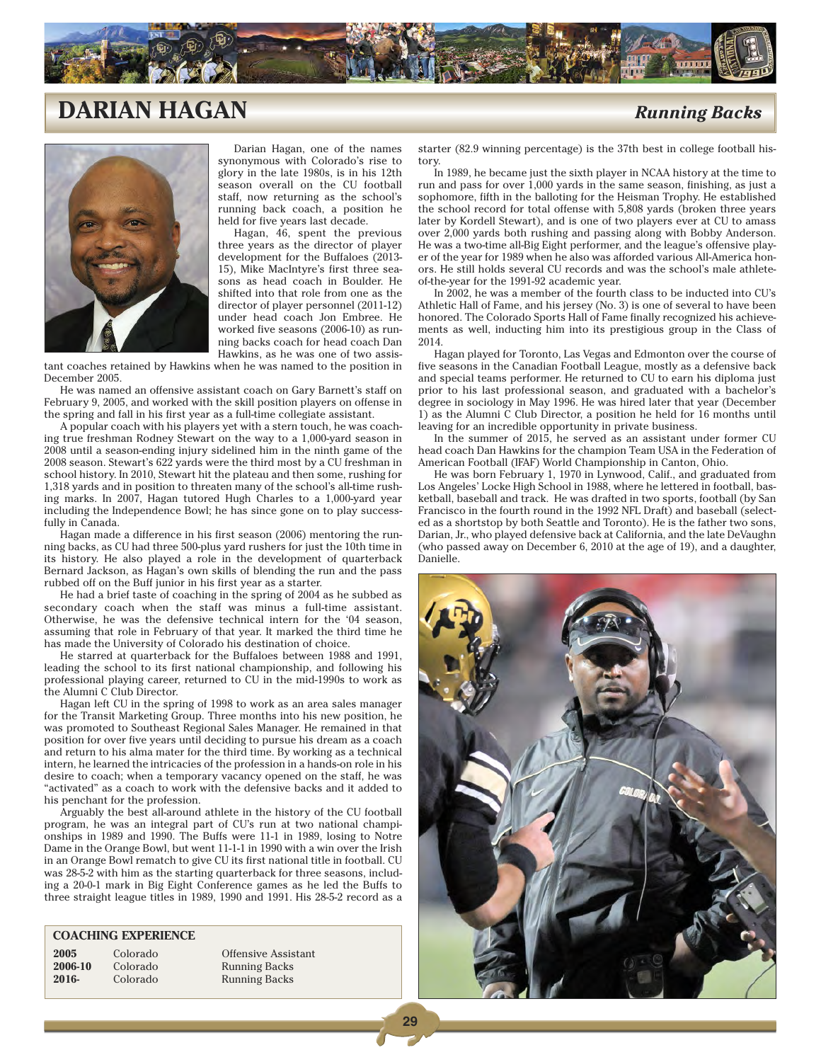

## **DARIAN HAGAN** *Running Backs*



Darian Hagan, one of the names synonymous with Colorado's rise to glory in the late 1980s, is in his 12th season overall on the CU football staff, now returning as the school's running back coach, a position he held for five years last decade.

Hagan, 46, spent the previous three years as the director of player development for the Buffaloes (2013- 15), Mike MacIntyre's first three seasons as head coach in Boulder. He shifted into that role from one as the director of player personnel (2011-12) under head coach Jon Embree. He worked five seasons (2006-10) as running backs coach for head coach Dan Hawkins, as he was one of two assis-

tant coaches retained by Hawkins when he was named to the position in December 2005.

He was named an offensive assistant coach on Gary Barnett's staff on February 9, 2005, and worked with the skill position players on offense in the spring and fall in his first year as a full-time collegiate assistant.

A popular coach with his players yet with a stern touch, he was coaching true freshman Rodney Stewart on the way to a 1,000-yard season in 2008 until a season-ending injury sidelined him in the ninth game of the 2008 season. Stewart's 622 yards were the third most by a CU freshman in school history. In 2010, Stewart hit the plateau and then some, rushing for 1,318 yards and in position to threaten many of the school's all-time rushing marks. In 2007, Hagan tutored Hugh Charles to a 1,000-yard year including the Independence Bowl; he has since gone on to play successfully in Canada.

Hagan made a difference in his first season (2006) mentoring the running backs, as CU had three 500-plus yard rushers for just the 10th time in its history. He also played a role in the development of quarterback Bernard Jackson, as Hagan's own skills of blending the run and the pass rubbed off on the Buff junior in his first year as a starter.

He had a brief taste of coaching in the spring of 2004 as he subbed as secondary coach when the staff was minus a full-time assistant. Otherwise, he was the defensive technical intern for the '04 season, assuming that role in February of that year. It marked the third time he has made the University of Colorado his destination of choice.

He starred at quarterback for the Buffaloes between 1988 and 1991, leading the school to its first national championship, and following his professional playing career, returned to CU in the mid-1990s to work as the Alumni C Club Director.

Hagan left CU in the spring of 1998 to work as an area sales manager for the Transit Marketing Group. Three months into his new position, he was promoted to Southeast Regional Sales Manager. He remained in that position for over five years until deciding to pursue his dream as a coach and return to his alma mater for the third time. By working as a technical intern, he learned the intricacies of the profession in a hands-on role in his desire to coach; when a temporary vacancy opened on the staff, he was "activated" as a coach to work with the defensive backs and it added to his penchant for the profession.

Arguably the best all-around athlete in the history of the CU football program, he was an integral part of CU's run at two national championships in 1989 and 1990. The Buffs were 11-1 in 1989, losing to Notre Dame in the Orange Bowl, but went 11-1-1 in 1990 with a win over the Irish in an Orange Bowl rematch to give CU its first national title in football. CU was 28-5-2 with him as the starting quarterback for three seasons, including a 20-0-1 mark in Big Eight Conference games as he led the Buffs to three straight league titles in 1989, 1990 and 1991. His 28-5-2 record as a

### **COACHING EXPERIENCE**

**2005** Colorado Offensive Assistant **2006-10** Colorado Running Backs **2016-** Colorado Running Backs

starter (82.9 winning percentage) is the 37th best in college football history.

In 1989, he became just the sixth player in NCAA history at the time to run and pass for over 1,000 yards in the same season, finishing, as just a sophomore, fifth in the balloting for the Heisman Trophy. He established the school record for total offense with 5,808 yards (broken three years later by Kordell Stewart), and is one of two players ever at CU to amass over 2,000 yards both rushing and passing along with Bobby Anderson. He was a two-time all-Big Eight performer, and the league's offensive player of the year for 1989 when he also was afforded various All-America honors. He still holds several CU records and was the school's male athleteof-the-year for the 1991-92 academic year.

In 2002, he was a member of the fourth class to be inducted into CU's Athletic Hall of Fame, and his jersey (No. 3) is one of several to have been honored. The Colorado Sports Hall of Fame finally recognized his achievements as well, inducting him into its prestigious group in the Class of 2014.

Hagan played for Toronto, Las Vegas and Edmonton over the course of five seasons in the Canadian Football League, mostly as a defensive back and special teams performer. He returned to CU to earn his diploma just prior to his last professional season, and graduated with a bachelor's degree in sociology in May 1996. He was hired later that year (December 1) as the Alumni C Club Director, a position he held for 16 months until leaving for an incredible opportunity in private business.

In the summer of 2015, he served as an assistant under former CU head coach Dan Hawkins for the champion Team USA in the Federation of American Football (IFAF) World Championship in Canton, Ohio.

He was born February 1, 1970 in Lynwood, Calif., and graduated from Los Angeles' Locke High School in 1988, where he lettered in football, basketball, baseball and track. He was drafted in two sports, football (by San Francisco in the fourth round in the 1992 NFL Draft) and baseball (selected as a shortstop by both Seattle and Toronto). He is the father two sons, Darian, Jr., who played defensive back at California, and the late DeVaughn (who passed away on December 6, 2010 at the age of 19), and a daughter, Danielle.

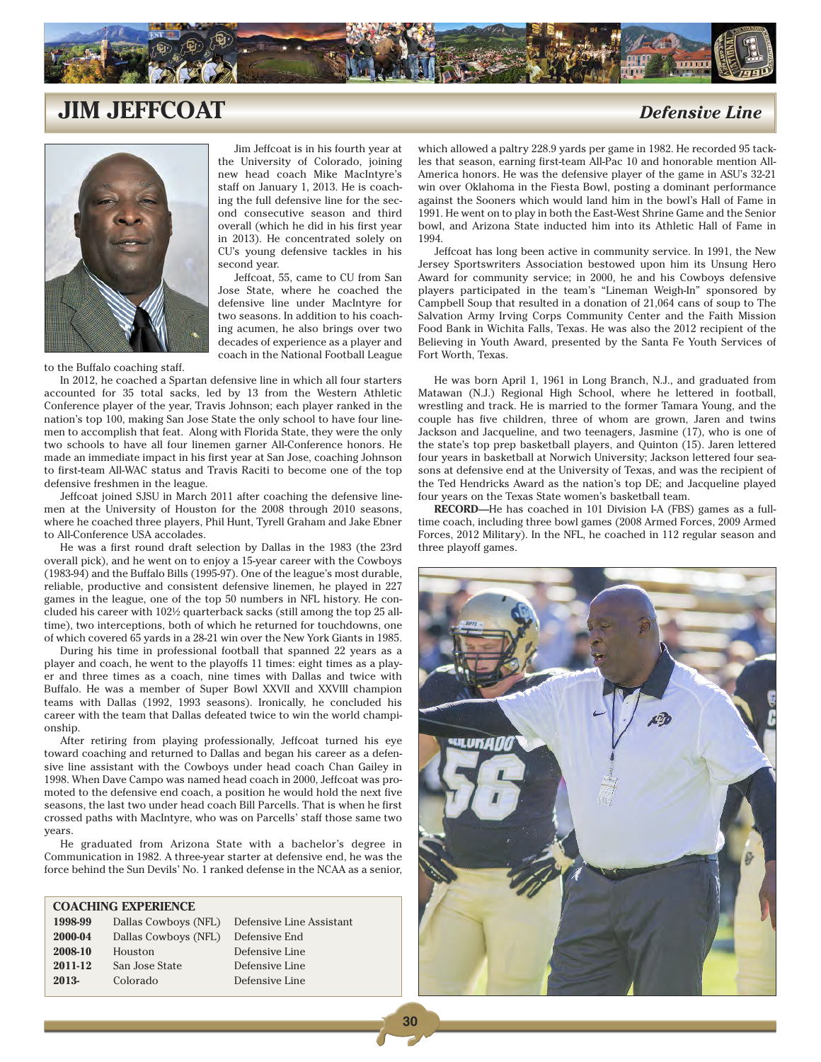

## **JIM JEFFCOAT** *Defensive Line*



to the Buffalo coaching staff.

In 2012, he coached a Spartan defensive line in which all four starters accounted for 35 total sacks, led by 13 from the Western Athletic Conference player of the year, Travis Johnson; each player ranked in the nation's top 100, making San Jose State the only school to have four linemen to accomplish that feat. Along with Florida State, they were the only two schools to have all four linemen garner All-Conference honors. He made an immediate impact in his first year at San Jose, coaching Johnson to first-team All-WAC status and Travis Raciti to become one of the top defensive freshmen in the league.

Jeffcoat joined SJSU in March 2011 after coaching the defensive linemen at the University of Houston for the 2008 through 2010 seasons, where he coached three players, Phil Hunt, Tyrell Graham and Jake Ebner to All-Conference USA accolades.

He was a first round draft selection by Dallas in the 1983 (the 23rd overall pick), and he went on to enjoy a 15-year career with the Cowboys (1983-94) and the Buffalo Bills (1995-97). One of the league's most durable, reliable, productive and consistent defensive linemen, he played in 227 games in the league, one of the top 50 numbers in NFL history. He concluded his career with 102½ quarterback sacks (still among the top 25 alltime), two interceptions, both of which he returned for touchdowns, one of which covered 65 yards in a 28-21 win over the New York Giants in 1985.

During his time in professional football that spanned 22 years as a player and coach, he went to the playoffs 11 times: eight times as a player and three times as a coach, nine times with Dallas and twice with Buffalo. He was a member of Super Bowl XXVII and XXVIII champion teams with Dallas (1992, 1993 seasons). Ironically, he concluded his career with the team that Dallas defeated twice to win the world championship.

After retiring from playing professionally, Jeffcoat turned his eye toward coaching and returned to Dallas and began his career as a defensive line assistant with the Cowboys under head coach Chan Gailey in 1998. When Dave Campo was named head coach in 2000, Jeffcoat was promoted to the defensive end coach, a position he would hold the next five seasons, the last two under head coach Bill Parcells. That is when he first crossed paths with MacIntyre, who was on Parcells' staff those same two years.

He graduated from Arizona State with a bachelor's degree in Communication in 1982. A three-year starter at defensive end, he was the force behind the Sun Devils' No. 1 ranked defense in the NCAA as a senior,

**Defensive Line Assistant** 

Defensive End **Defensive Line Defensive Line** Defensive Line

### **COACHING EXPERIENCE**

| 1998-99 | Dallas Cowboys (NFL) |
|---------|----------------------|
| 2000-04 | Dallas Cowboys (NFL) |
| 2008-10 | Houston              |
| 2011-12 | San Jose State       |
| 2013-   | Colorado             |
|         |                      |

Jim Jeffcoat is in his fourth year at the University of Colorado, joining new head coach Mike MacIntyre's staff on January 1, 2013. He is coaching the full defensive line for the second consecutive season and third overall (which he did in his first year in 2013). He concentrated solely on CU's young defensive tackles in his second year.

Jeffcoat, 55, came to CU from San Jose State, where he coached the defensive line under MacIntyre for two seasons. In addition to his coaching acumen, he also brings over two decades of experience as a player and coach in the National Football League

which allowed a paltry 228.9 yards per game in 1982. He recorded 95 tackles that season, earning first-team All-Pac 10 and honorable mention All-America honors. He was the defensive player of the game in ASU's 32-21 win over Oklahoma in the Fiesta Bowl, posting a dominant performance against the Sooners which would land him in the bowl's Hall of Fame in 1991. He went on to play in both the East-West Shrine Game and the Senior bowl, and Arizona State inducted him into its Athletic Hall of Fame in 1994.

Jeffcoat has long been active in community service. In 1991, the New Jersey Sportswriters Association bestowed upon him its Unsung Hero Award for community service; in 2000, he and his Cowboys defensive players participated in the team's "Lineman Weigh-In" sponsored by Campbell Soup that resulted in a donation of 21,064 cans of soup to The Salvation Army Irving Corps Community Center and the Faith Mission Food Bank in Wichita Falls, Texas. He was also the 2012 recipient of the Believing in Youth Award, presented by the Santa Fe Youth Services of Fort Worth, Texas.

He was born April 1, 1961 in Long Branch, N.J., and graduated from Matawan (N.J.) Regional High School, where he lettered in football, wrestling and track. He is married to the former Tamara Young, and the couple has five children, three of whom are grown, Jaren and twins Jackson and Jacqueline, and two teenagers, Jasmine (17), who is one of the state's top prep basketball players, and Quinton (15). Jaren lettered four years in basketball at Norwich University; Jackson lettered four seasons at defensive end at the University of Texas, and was the recipient of the Ted Hendricks Award as the nation's top DE; and Jacqueline played four years on the Texas State women's basketball team.

**RECORD**—He has coached in 101 Division I-A (FBS) games as a fulltime coach, including three bowl games (2008 Armed Forces, 2009 Armed Forces, 2012 Military). In the NFL, he coached in 112 regular season and three playoff games.